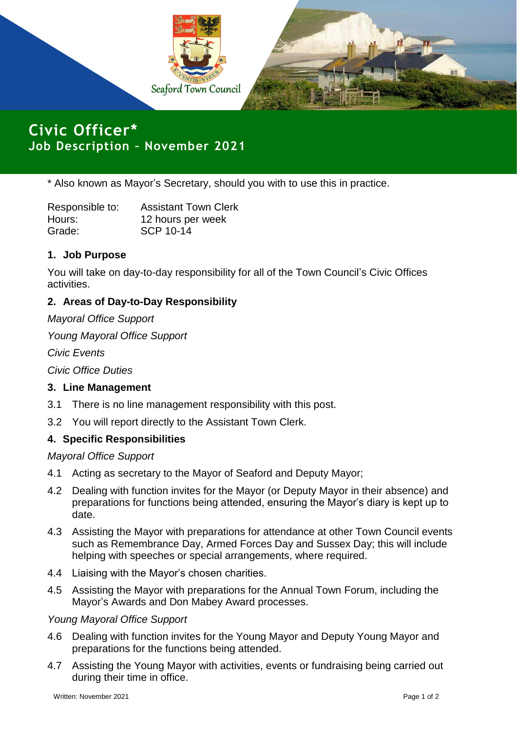

**Civic Officer\* Job Description – November 2021**

\* Also known as Mayor's Secretary, should you with to use this in practice.

| Responsible to: | <b>Assistant Town Clerk</b> |
|-----------------|-----------------------------|
| Hours:          | 12 hours per week           |
| Grade:          | <b>SCP 10-14</b>            |

# **1. Job Purpose**

You will take on day-to-day responsibility for all of the Town Council's Civic Offices activities.

# **2. Areas of Day-to-Day Responsibility**

*Mayoral Office Support* 

*Young Mayoral Office Support*

*Civic Events*

*Civic Office Duties*

### **3. Line Management**

- 3.1 There is no line management responsibility with this post.
- 3.2 You will report directly to the Assistant Town Clerk.

### **4. Specific Responsibilities**

*Mayoral Office Support*

- 4.1 Acting as secretary to the Mayor of Seaford and Deputy Mayor;
- 4.2 Dealing with function invites for the Mayor (or Deputy Mayor in their absence) and preparations for functions being attended, ensuring the Mayor's diary is kept up to date.
- 4.3 Assisting the Mayor with preparations for attendance at other Town Council events such as Remembrance Day, Armed Forces Day and Sussex Day; this will include helping with speeches or special arrangements, where required.
- 4.4 Liaising with the Mayor's chosen charities.
- 4.5 Assisting the Mayor with preparations for the Annual Town Forum, including the Mayor's Awards and Don Mabey Award processes.

### *Young Mayoral Office Support*

- 4.6 Dealing with function invites for the Young Mayor and Deputy Young Mayor and preparations for the functions being attended.
- 4.7 Assisting the Young Mayor with activities, events or fundraising being carried out during their time in office.